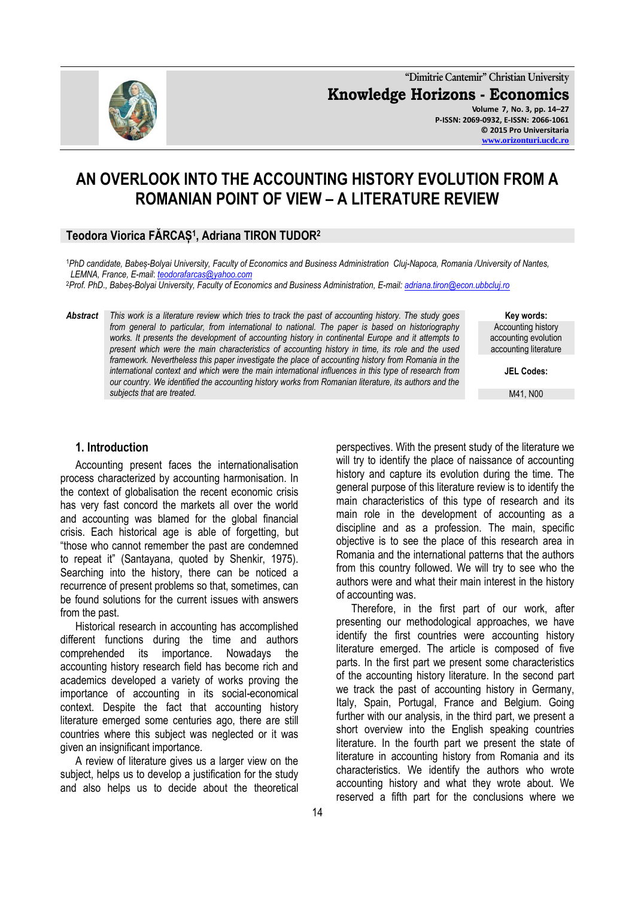**"Dimitrie Cantemir" Christian University Knowledge Horizons - Economics Volume 7, No. 3, pp. 14–27 P-ISSN: 2069-0932, E-ISSN: 2066-1061 © 2015 Pro Universitaria**

# **AN OVERLOOK INTO THE ACCOUNTING HISTORY EVOLUTION FROM A ROMANIAN POINT OF VIEW – A LITERATURE REVIEW**

#### **Teodora Viorica FĂRCAȘ<sup>1</sup> , Adriana TIRON TUDOR<sup>2</sup>**

<sup>1</sup>*PhD candidate, Babeș-Bolyai University, Faculty of Economics and Business Administration Cluj-Napoca, Romania /University of Nantes, LEMNA, France, E-mail*: *[teodorafarcas@yahoo.com](mailto:teodorafarcas@yahoo.com)*

<sup>2</sup>*Prof. PhD., Babeș-Bolyai University, Faculty of Economics and Business Administration, E-mail[: adriana.tiron@econ.ubbcluj.ro](mailto:adriana.tiron@econ.ubbcluj.ro)*

*Abstract This work is a literature review which tries to track the past of accounting history. The study goes from general to particular, from international to national. The paper is based on historiography works. It presents the development of accounting history in continental Europe and it attempts to present which were the main characteristics of accounting history in time, its role and the used framework. Nevertheless this paper investigate the place of accounting history from Romania in the international context and which were the main international influences in this type of research from our country. We identified the accounting history works from Romanian literature, its authors and the subjects that are treated.*

**Key words:** Accounting history accounting evolution accounting literature

**JEL Codes:**

M41, N00

#### **1. Introduction**

Accounting present faces the internationalisation process characterized by accounting harmonisation. In the context of globalisation the recent economic crisis has very fast concord the markets all over the world and accounting was blamed for the global financial crisis. Each historical age is able of forgetting, but "those who cannot remember the past are condemned to repeat it" (Santayana, quoted by Shenkir, 1975). Searching into the history, there can be noticed a recurrence of present problems so that, sometimes, can be found solutions for the current issues with answers from the past.

Historical research in accounting has accomplished different functions during the time and authors comprehended its importance. Nowadays the accounting history research field has become rich and academics developed a variety of works proving the importance of accounting in its social-economical context. Despite the fact that accounting history literature emerged some centuries ago, there are still countries where this subject was neglected or it was given an insignificant importance.

A review of literature gives us a larger view on the subject, helps us to develop a justification for the study and also helps us to decide about the theoretical perspectives. With the present study of the literature we will try to identify the place of naissance of accounting history and capture its evolution during the time. The general purpose of this literature review is to identify the main characteristics of this type of research and its main role in the development of accounting as a discipline and as a profession. The main, specific objective is to see the place of this research area in Romania and the international patterns that the authors from this country followed. We will try to see who the authors were and what their main interest in the history of accounting was.

Therefore, in the first part of our work, after presenting our methodological approaches, we have identify the first countries were accounting history literature emerged. The article is composed of five parts. In the first part we present some characteristics of the accounting history literature. In the second part we track the past of accounting history in Germany, Italy, Spain, Portugal, France and Belgium. Going further with our analysis, in the third part, we present a short overview into the English speaking countries literature. In the fourth part we present the state of literature in accounting history from Romania and its characteristics. We identify the authors who wrote accounting history and what they wrote about. We reserved a fifth part for the conclusions where we

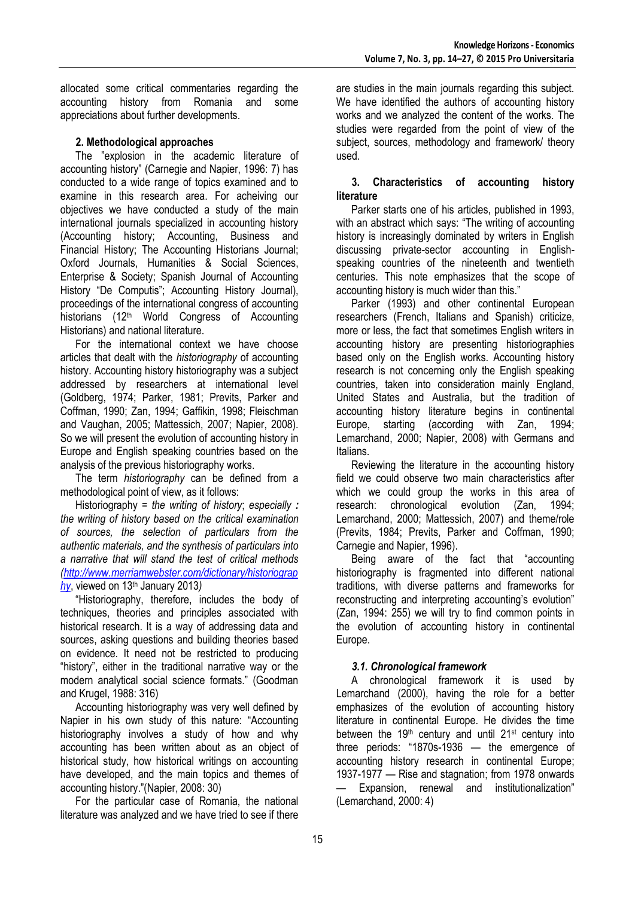allocated some critical commentaries regarding the accounting history from Romania and some appreciations about further developments.

### **2. Methodological approaches**

The "explosion in the academic literature of accounting history" (Carnegie and Napier, 1996: 7) has conducted to a wide range of topics examined and to examine in this research area. For acheiving our objectives we have conducted a study of the main international journals specialized in accounting history (Accounting history; Accounting, Business and Financial History; The Accounting Historians Journal; [Oxford Journals,](http://services.oxfordjournals.org/cgi/tslogin?url=http%3A%2F%2Fwww.oxfordjournals.org) [Humanities](http://www.oxfordjournals.org/subject/humanities/) & [Social Sciences,](http://www.oxfordjournals.org/subject/social_sciences/)  [Enterprise & Society;](http://es.oxfordjournals.org/) Spanish Journal of Accounting History "De Computis"; Accounting History Journal), proceedings of the international congress of accounting historians (12<sup>th</sup> World Congress of Accounting Historians) and national literature.

For the international context we have choose articles that dealt with the *historiography* of accounting history. Accounting history historiography was a subject addressed by researchers at international level (Goldberg, 1974; Parker, 1981; Previts, Parker and Coffman, 1990; Zan, 1994; Gaffikin, 1998; Fleischman and Vaughan, 2005; Mattessich, 2007; Napier, 2008). So we will present the evolution of accounting history in Europe and English speaking countries based on the analysis of the previous historiography works.

The term *historiography* can be defined from a methodological point of view, as it follows:

Historiography = *the writing of [history](http://www.merriam-webster.com/dictionary/history)*; *especially : the writing of history based on the critical examination of sources, the selection of particulars from the authentic materials, and the synthesis of particulars into a narrative that will stand the test of critical methods [\(http://www.merriamwebster.com/dictionary/historiograp](http://www.merriamwebster.com/dictionary/historiography) [hy](http://www.merriamwebster.com/dictionary/historiography)*, viewed on 13th January 2013*)*

―Historiography, therefore, includes the body of techniques, theories and principles associated with historical research. It is a way of addressing data and sources, asking questions and building theories based on evidence. It need not be restricted to producing "history", either in the traditional narrative way or the modern analytical social science formats." (Goodman and Krugel, 1988: 316)

Accounting historiography was very well defined by Napier in his own study of this nature: "Accounting historiography involves a study of how and why accounting has been written about as an object of historical study, how historical writings on accounting have developed, and the main topics and themes of accounting history." (Napier, 2008: 30)

For the particular case of Romania, the national literature was analyzed and we have tried to see if there

are studies in the main journals regarding this subject. We have identified the authors of accounting history works and we analyzed the content of the works. The studies were regarded from the point of view of the subject, sources, methodology and framework/ theory used.

#### **3. Characteristics of accounting history literature**

Parker starts one of his articles, published in 1993, with an abstract which says: "The writing of accounting history is increasingly dominated by writers in English discussing private-sector accounting in Englishspeaking countries of the nineteenth and twentieth centuries. This note emphasizes that the scope of accounting history is much wider than this."

Parker (1993) and other continental European researchers (French, Italians and Spanish) criticize, more or less, the fact that sometimes English writers in accounting history are presenting historiographies based only on the English works. Accounting history research is not concerning only the English speaking countries, taken into consideration mainly England, United States and Australia, but the tradition of accounting history literature begins in continental Europe, starting (according with Zan, 1994; Lemarchand, 2000; Napier, 2008) with Germans and Italians.

Reviewing the literature in the accounting history field we could observe two main characteristics after which we could group the works in this area of research: chronological evolution (Zan, 1994; Lemarchand, 2000; Mattessich, 2007) and theme/role (Previts, 1984; Previts, Parker and Coffman, 1990; Carnegie and Napier, 1996).

Being aware of the fact that "accounting historiography is fragmented into different national traditions, with diverse patterns and frameworks for reconstructing and interpreting accounting's evolution" (Zan, 1994: 255) we will try to find common points in the evolution of accounting history in continental Europe.

## *3.1. Chronological framework*

A chronological framework it is used by Lemarchand (2000), having the role for a better emphasizes of the evolution of accounting history literature in continental Europe. He divides the time between the 19<sup>th</sup> century and until 21<sup>st</sup> century into three periods:  $4870s-1936 -$  the emergence of accounting history research in continental Europe; 1937-1977 — Rise and stagnation; from 1978 onwards Expansion, renewal and institutionalization" (Lemarchand, 2000: 4)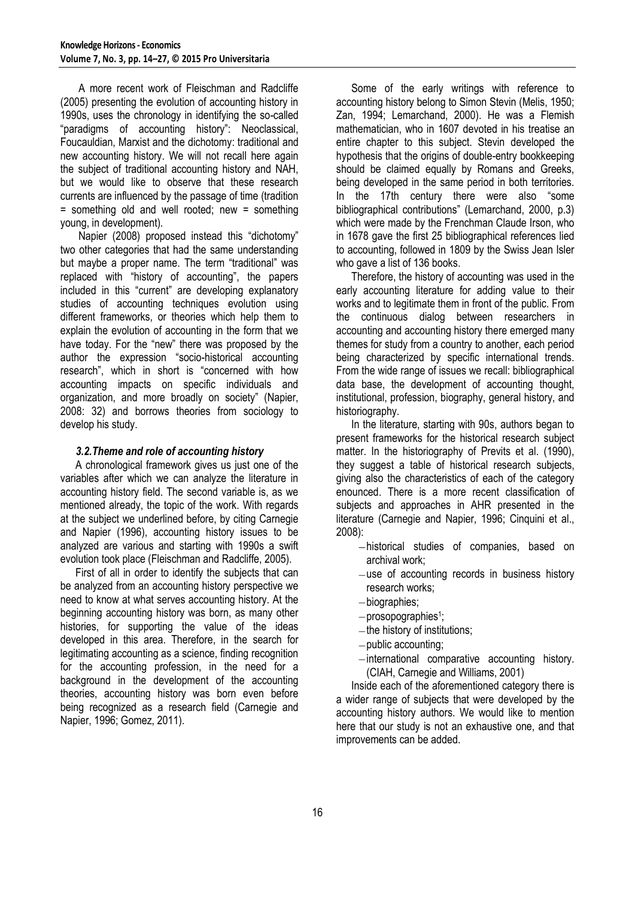A more recent work of Fleischman and Radcliffe (2005) presenting the evolution of accounting history in 1990s, uses the chronology in identifying the so-called "paradigms of accounting history": Neoclassical, Foucauldian, Marxist and the dichotomy: traditional and new accounting history. We will not recall here again the subject of traditional accounting history and NAH, but we would like to observe that these research currents are influenced by the passage of time (tradition = something old and well rooted; new = something young, in development).

Napier (2008) proposed instead this "dichotomy" two other categories that had the same understanding but maybe a proper name. The term "traditional" was replaced with "history of accounting", the papers included in this "current" are developing explanatory studies of accounting techniques evolution using different frameworks, or theories which help them to explain the evolution of accounting in the form that we have today. For the "new" there was proposed by the author the expression "socio-historical accounting research", which in short is "concerned with how accounting impacts on specific individuals and organization, and more broadly on society" (Napier, 2008: 32) and borrows theories from sociology to develop his study.

#### *3.2.Theme and role of accounting history*

A chronological framework gives us just one of the variables after which we can analyze the literature in accounting history field. The second variable is, as we mentioned already, the topic of the work. With regards at the subject we underlined before, by citing Carnegie and Napier (1996), accounting history issues to be analyzed are various and starting with 1990s a swift evolution took place (Fleischman and Radcliffe, 2005).

First of all in order to identify the subjects that can be analyzed from an accounting history perspective we need to know at what serves accounting history. At the beginning accounting history was born, as many other histories, for supporting the value of the ideas developed in this area. Therefore, in the search for legitimating accounting as a science, finding recognition for the accounting profession, in the need for a background in the development of the accounting theories, accounting history was born even before being recognized as a research field (Carnegie and Napier, 1996; Gomez, 2011).

Some of the early writings with reference to accounting history belong to Simon Stevin (Melis, 1950; Zan, 1994; Lemarchand, 2000). He was a Flemish mathematician, who in 1607 devoted in his treatise an entire chapter to this subject. Stevin developed the hypothesis that the origins of double-entry bookkeeping should be claimed equally by Romans and Greeks, being developed in the same period in both territories. In the 17th century there were also "some bibliographical contributions" (Lemarchand, 2000, p.3) which were made by the Frenchman Claude Irson, who in 1678 gave the first 25 bibliographical references lied to accounting, followed in 1809 by the Swiss Jean Isler who gave a list of 136 books.

Therefore, the history of accounting was used in the early accounting literature for adding value to their works and to legitimate them in front of the public. From the continuous dialog between researchers in accounting and accounting history there emerged many themes for study from a country to another, each period being characterized by specific international trends. From the wide range of issues we recall: bibliographical data base, the development of accounting thought, institutional, profession, biography, general history, and historiography.

In the literature, starting with 90s, authors began to present frameworks for the historical research subject matter. In the historiography of Previts et al. (1990), they suggest a table of historical research subjects, giving also the characteristics of each of the category enounced. There is a more recent classification of subjects and approaches in AHR presented in the literature (Carnegie and Napier, 1996; Cinquini et al., 2008):

- historical studies of companies, based on archival work;
- $-$ use of accounting records in business history research works;
- biographies;
- prosopographies<sup>1</sup>;
- $-$ the history of institutions;
- $-p$ ublic accounting;
- $-$ international comparative accounting history. (CIAH, Carnegie and Williams, 2001)

Inside each of the aforementioned category there is a wider range of subjects that were developed by the accounting history authors. We would like to mention here that our study is not an exhaustive one, and that improvements can be added.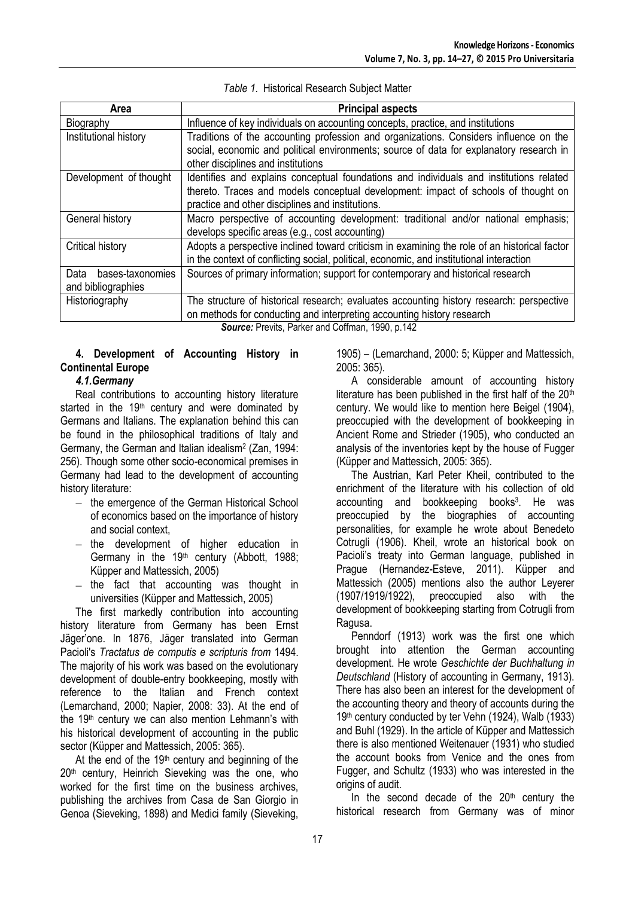| Area                     | <b>Principal aspects</b>                                                                     |  |  |  |  |
|--------------------------|----------------------------------------------------------------------------------------------|--|--|--|--|
| Biography                | Influence of key individuals on accounting concepts, practice, and institutions              |  |  |  |  |
| Institutional history    | Traditions of the accounting profession and organizations. Considers influence on the        |  |  |  |  |
|                          | social, economic and political environments; source of data for explanatory research in      |  |  |  |  |
|                          | other disciplines and institutions                                                           |  |  |  |  |
| Development of thought   | Identifies and explains conceptual foundations and individuals and institutions related      |  |  |  |  |
|                          | thereto. Traces and models conceptual development: impact of schools of thought on           |  |  |  |  |
|                          | practice and other disciplines and institutions.                                             |  |  |  |  |
| General history          | Macro perspective of accounting development: traditional and/or national emphasis;           |  |  |  |  |
|                          | develops specific areas (e.g., cost accounting)                                              |  |  |  |  |
| Critical history         | Adopts a perspective inclined toward criticism in examining the role of an historical factor |  |  |  |  |
|                          | in the context of conflicting social, political, economic, and institutional interaction     |  |  |  |  |
| Data<br>bases-taxonomies | Sources of primary information; support for contemporary and historical research             |  |  |  |  |
| and bibliographies       |                                                                                              |  |  |  |  |
| Historiography           | The structure of historical research; evaluates accounting history research: perspective     |  |  |  |  |
|                          | on methods for conducting and interpreting accounting history research                       |  |  |  |  |

*Table 1.* Historical Research Subject Matter

*Source:* Previts, Parker and Coffman, 1990, p.142

### **4. Development of Accounting History in Continental Europe**

### *4.1.Germany*

Real contributions to accounting history literature started in the 19<sup>th</sup> century and were dominated by Germans and Italians. The explanation behind this can be found in the philosophical traditions of Italy and Germany, the German and Italian idealism<sup>2</sup> (Zan, 1994: 256). Though some other socio-economical premises in Germany had lead to the development of accounting history literature:

- $-$  the emergence of the German Historical School of economics based on the importance of history and social context,
- $-$  the development of higher education in Germany in the 19<sup>th</sup> century (Abbott, 1988; Küpper and Mattessich, 2005)
- $-$  the fact that accounting was thought in universities (Küpper and Mattessich, 2005)

The first markedly contribution into accounting history literature from Germany has been Ernst Jäger'one. In 1876, Jäger translated into German Pacioli's *Tractatus de computis e scripturis from* 1494. The majority of his work was based on the evolutionary development of double-entry bookkeeping, mostly with reference to the Italian and French context (Lemarchand, 2000; Napier, 2008: 33). At the end of the 19th century we can also mention Lehmann's with his historical development of accounting in the public sector (Küpper and Mattessich, 2005: 365).

At the end of the  $19<sup>th</sup>$  century and beginning of the 20<sup>th</sup> century, Heinrich Sieveking was the one, who worked for the first time on the business archives, publishing the archives from Casa de San Giorgio in Genoa (Sieveking, 1898) and Medici family (Sieveking,

1905) – (Lemarchand, 2000: 5; Küpper and Mattessich, 2005: 365).

A considerable amount of accounting history literature has been published in the first half of the  $20<sup>th</sup>$ century. We would like to mention here Beigel (1904), preoccupied with the development of bookkeeping in Ancient Rome and Strieder (1905), who conducted an analysis of the inventories kept by the house of Fugger (Küpper and Mattessich, 2005: 365).

The Austrian, Karl Peter Kheil, contributed to the enrichment of the literature with his collection of old accounting and bookkeeping books<sup>3</sup>. He was preoccupied by the biographies of accounting personalities, for example he wrote about Benedeto Cotrugli (1906). Kheil, wrote an historical book on Pacioli's treaty into German language, published in Prague (Hernandez-Esteve, 2011). Küpper and Mattessich (2005) mentions also the author Leyerer (1907/1919/1922), preoccupied also with the development of bookkeeping starting from Cotrugli from Ragusa.

Penndorf (1913) work was the first one which brought into attention the German accounting development. He wrote *Geschichte der Buchhaltung in Deutschland* (History of accounting in Germany, 1913). There has also been an interest for the development of the accounting theory and theory of accounts during the 19<sup>th</sup> century conducted by ter Vehn (1924), Walb (1933) and Buhl (1929). In the article of Küpper and Mattessich there is also mentioned Weitenauer (1931) who studied the account books from Venice and the ones from Fugger, and Schultz (1933) who was interested in the origins of audit.

In the second decade of the  $20<sup>th</sup>$  century the historical research from Germany was of minor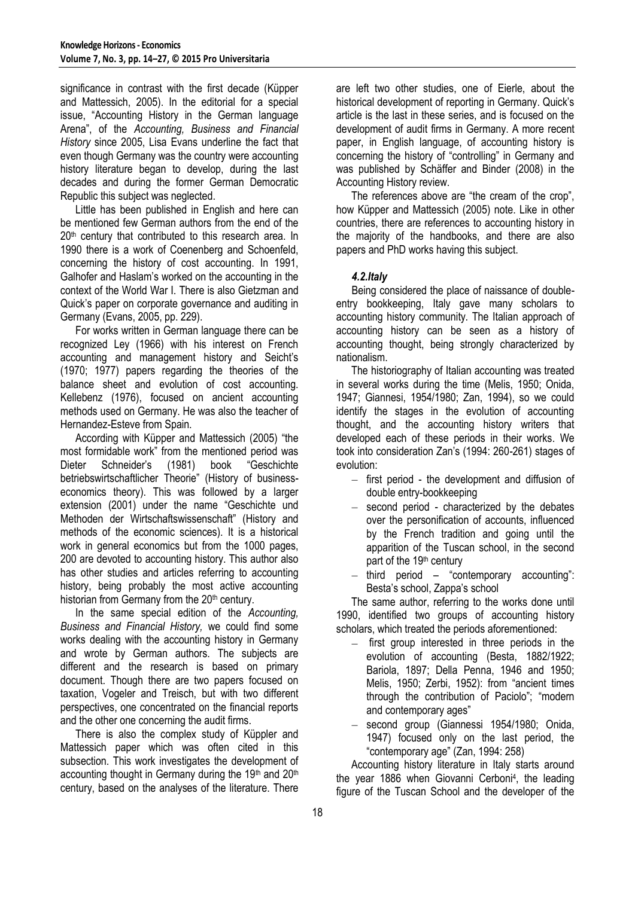significance in contrast with the first decade (Küpper and Mattessich, 2005). In the editorial for a special issue, "Accounting History in the German language Arena‖, of the *Accounting, Business and Financial History* since 2005, Lisa Evans underline the fact that even though Germany was the country were accounting history literature began to develop, during the last decades and during the former German Democratic Republic this subject was neglected.

Little has been published in English and here can be mentioned few German authors from the end of the 20<sup>th</sup> century that contributed to this research area. In 1990 there is a work of Coenenberg and Schoenfeld, concerning the history of cost accounting. In 1991, Galhofer and Haslam's worked on the accounting in the context of the World War I. There is also Gietzman and Quick's paper on corporate governance and auditing in Germany (Evans, 2005, pp. 229).

For works written in German language there can be recognized Ley (1966) with his interest on French accounting and management history and Seicht's (1970; 1977) papers regarding the theories of the balance sheet and evolution of cost accounting. Kellebenz (1976), focused on ancient accounting methods used on Germany. He was also the teacher of Hernandez-Esteve from Spain.

According with Küpper and Mattessich (2005) "the most formidable work" from the mentioned period was Dieter Schneider's (1981) book "Geschichte betriebswirtschaftlicher Theorie" (History of businesseconomics theory). This was followed by a larger extension (2001) under the name "Geschichte und Methoden der Wirtschaftswissenschaft" (History and methods of the economic sciences). It is a historical work in general economics but from the 1000 pages, 200 are devoted to accounting history. This author also has other studies and articles referring to accounting history, being probably the most active accounting historian from Germany from the 20<sup>th</sup> century.

In the same special edition of the *Accounting, Business and Financial History,* we could find some works dealing with the accounting history in Germany and wrote by German authors. The subjects are different and the research is based on primary document. Though there are two papers focused on taxation, Vogeler and Treisch, but with two different perspectives, one concentrated on the financial reports and the other one concerning the audit firms.

There is also the complex study of Küppler and Mattessich paper which was often cited in this subsection. This work investigates the development of accounting thought in Germany during the 19th and  $20<sup>th</sup>$ century, based on the analyses of the literature. There

are left two other studies, one of Eierle, about the historical development of reporting in Germany. Quick's article is the last in these series, and is focused on the development of audit firms in Germany. A more recent paper, in English language, of accounting history is concerning the history of "controlling" in Germany and was published by Schäffer and Binder (2008) in the Accounting History review.

The references above are "the cream of the crop". how Küpper and Mattessich (2005) note. Like in other countries, there are references to accounting history in the majority of the handbooks, and there are also papers and PhD works having this subject.

### *4.2.Italy*

Being considered the place of naissance of doubleentry bookkeeping, Italy gave many scholars to accounting history community. The Italian approach of accounting history can be seen as a history of accounting thought, being strongly characterized by nationalism.

The historiography of Italian accounting was treated in several works during the time (Melis, 1950; Onida, 1947; Giannesi, 1954/1980; Zan, 1994), so we could identify the stages in the evolution of accounting thought, and the accounting history writers that developed each of these periods in their works. We took into consideration Zan's (1994: 260-261) stages of evolution:

- $-$  first period the development and diffusion of double entry-bookkeeping
- $-$  second period characterized by the debates over the personification of accounts, influenced by the French tradition and going until the apparition of the Tuscan school, in the second part of the 19<sup>th</sup> century
- $-$  third period "contemporary accounting": Besta's school, Zappa's school

The same author, referring to the works done until 1990, identified two groups of accounting history scholars, which treated the periods aforementioned:

- $\overline{\phantom{0}}$ first group interested in three periods in the evolution of accounting (Besta, 1882/1922; Bariola, 1897; Della Penna, 1946 and 1950; Melis, 1950; Zerbi, 1952): from "ancient times through the contribution of Paciolo"; "modern and contemporary ages"
- second group (Giannessi 1954/1980; Onida,  $-$ 1947) focused only on the last period, the ―contemporary age‖ (Zan, 1994: 258)

Accounting history literature in Italy starts around the year 1886 when Giovanni Cerboni<sup>4</sup> , the leading figure of the Tuscan School and the developer of the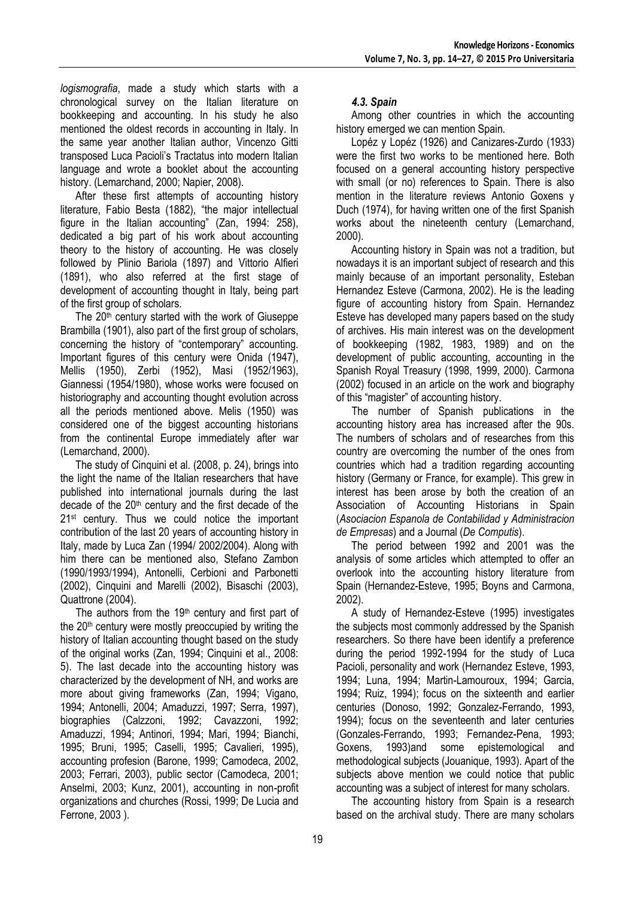*logismografia*, made a study which starts with a chronological survey on the Italian literature on bookkeeping and accounting. In his study he also mentioned the oldest records in accounting in Italy. In the same year another Italian author, Vincenzo Gitti transposed Luca Pacioli's Tractatus into modern Italian language and wrote a booklet about the accounting history. (Lemarchand, 2000; Napier, 2008).

After these first attempts of accounting history literature, Fabio Besta (1882), "the major intellectual figure in the Italian accounting" (Zan, 1994: 258), dedicated a big part of his work about accounting theory to the history of accounting. He was closely followed by Plinio Bariola (1897) and Vittorio Alfieri (1891), who also referred at the first stage of development of accounting thought in Italy, being part of the first group of scholars.

The  $20<sup>th</sup>$  century started with the work of Giuseppe Brambilla (1901), also part of the first group of scholars, concerning the history of "contemporary" accounting. Important figures of this century were Onida (1947), Mellis (1950), Zerbi (1952), Masi (1952/1963), Giannessi (1954/1980), whose works were focused on historiography and accounting thought evolution across all the periods mentioned above. Melis (1950) was considered one of the biggest accounting historians from the continental Europe immediately after war (Lemarchand, 2000).

The study of Cinquini et al. (2008, p. 24), brings into the light the name of the Italian researchers that have published into international journals during the last decade of the  $20<sup>th</sup>$  century and the first decade of the 21<sup>st</sup> century. Thus we could notice the important contribution of the last 20 years of accounting history in Italy, made by Luca Zan (1994/ 2002/2004). Along with him there can be mentioned also, Stefano Zambon (1990/1993/1994), Antonelli, Cerbioni and Parbonetti (2002), Cinquini and Marelli (2002), Bisaschi (2003), Quattrone (2004).

The authors from the 19<sup>th</sup> century and first part of the 20th century were mostly preoccupied by writing the history of Italian accounting thought based on the study of the original works (Zan, 1994; Cinquini et al., 2008: 5). The last decade into the accounting history was characterized by the development of NH, and works are more about giving frameworks (Zan, 1994; Vigano, 1994; Antonelli, 2004; Amaduzzi, 1997; Serra, 1997), biographies (Calzzoni, 1992; Cavazzoni, 1992; Amaduzzi, 1994; Antinori, 1994; Mari, 1994; Bianchi, 1995; Bruni, 1995; Caselli, 1995; Cavalieri, 1995), accounting profesion (Barone, 1999; Camodeca, 2002, 2003; Ferrari, 2003), public sector (Camodeca, 2001; Anselmi, 2003; Kunz, 2001), accounting in non-profit organizations and churches (Rossi, 1999; De Lucia and Ferrone, 2003 ).

### *4.3. Spain*

Among other countries in which the accounting history emerged we can mention Spain.

Lopéz y Lopéz (1926) and Canizares-Zurdo (1933) were the first two works to be mentioned here. Both focused on a general accounting history perspective with small (or no) references to Spain. There is also mention in the literature reviews Antonio Goxens y Duch (1974), for having written one of the first Spanish works about the nineteenth century (Lemarchand, 2000).

Accounting history in Spain was not a tradition, but nowadays it is an important subject of research and this mainly because of an important personality, Esteban Hernandez Esteve (Carmona, 2002). He is the leading figure of accounting history from Spain. Hernandez Esteve has developed many papers based on the study of archives. His main interest was on the development of bookkeeping (1982, 1983, 1989) and on the development of public accounting, accounting in the Spanish Royal Treasury (1998, 1999, 2000). Carmona (2002) focused in an article on the work and biography of this "magister" of accounting history.

The number of Spanish publications in the accounting history area has increased after the 90s. The numbers of scholars and of researches from this country are overcoming the number of the ones from countries which had a tradition regarding accounting history (Germany or France, for example). This grew in interest has been arose by both the creation of an Association of Accounting Historians in Spain (*Asociacion Espanola de Contabilidad y Administracion de Empresas*) and a Journal (*De Computis*).

The period between 1992 and 2001 was the analysis of some articles which attempted to offer an overlook into the accounting history literature from Spain (Hernandez-Esteve, 1995; Boyns and Carmona, 2002).

A study of Hernandez-Esteve (1995) investigates the subjects most commonly addressed by the Spanish researchers. So there have been identify a preference during the period 1992-1994 for the study of Luca Pacioli, personality and work (Hernandez Esteve, 1993, 1994; Luna, 1994; Martin-Lamouroux, 1994; Garcia, 1994; Ruiz, 1994); focus on the sixteenth and earlier centuries (Donoso, 1992; Gonzalez-Ferrando, 1993, 1994); focus on the seventeenth and later centuries (Gonzales-Ferrando, 1993; Fernandez-Pena, 1993; Goxens, 1993)and some epistemological and methodological subjects (Jouanique, 1993). Apart of the subjects above mention we could notice that public accounting was a subject of interest for many scholars.

The accounting history from Spain is a research based on the archival study. There are many scholars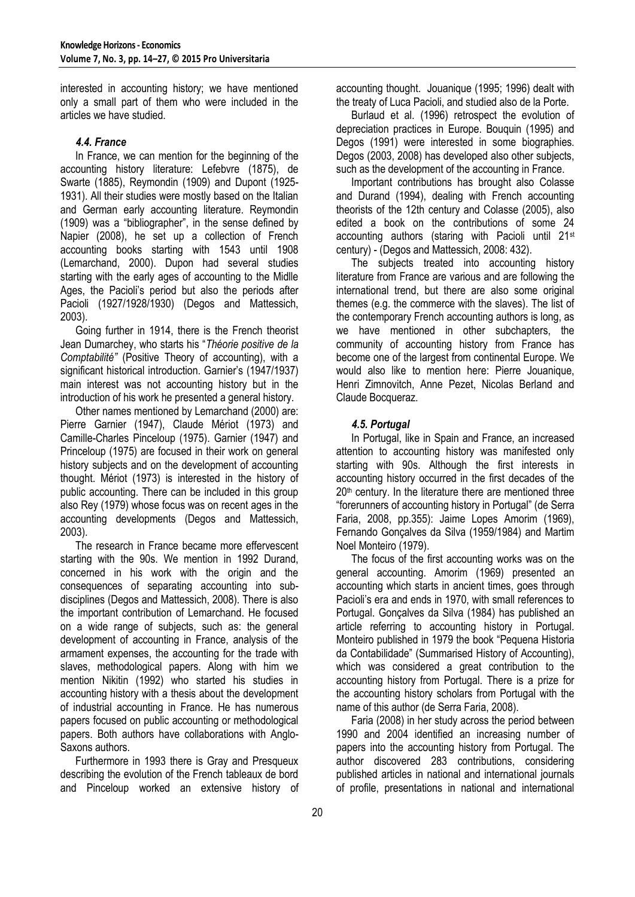interested in accounting history; we have mentioned only a small part of them who were included in the articles we have studied.

### *4.4. France*

In France, we can mention for the beginning of the accounting history literature: Lefebvre (1875), de Swarte (1885), Reymondin (1909) and Dupont (1925- 1931). All their studies were mostly based on the Italian and German early accounting literature. Reymondin (1909) was a "bibliographer", in the sense defined by Napier (2008), he set up a collection of French accounting books starting with 1543 until 1908 (Lemarchand, 2000). Dupon had several studies starting with the early ages of accounting to the Midlle Ages, the Pacioli's period but also the periods after Pacioli (1927/1928/1930) (Degos and Mattessich, 2003).

Going further in 1914, there is the French theorist Jean Dumarchey, who starts his ―*Théorie positive de la Comptabilité"* (Positive Theory of accounting), with a significant historical introduction. Garnier's (1947/1937) main interest was not accounting history but in the introduction of his work he presented a general history.

Other names mentioned by Lemarchand (2000) are: Pierre Garnier (1947), Claude Mériot (1973) and Camille-Charles Pinceloup (1975). Garnier (1947) and Princeloup (1975) are focused in their work on general history subjects and on the development of accounting thought. Mériot (1973) is interested in the history of public accounting. There can be included in this group also Rey (1979) whose focus was on recent ages in the accounting developments (Degos and Mattessich, 2003).

The research in France became more effervescent starting with the 90s. We mention in 1992 Durand, concerned in his work with the origin and the consequences of separating accounting into subdisciplines (Degos and Mattessich, 2008). There is also the important contribution of Lemarchand. He focused on a wide range of subjects, such as: the general development of accounting in France, analysis of the armament expenses, the accounting for the trade with slaves, methodological papers. Along with him we mention Nikitin (1992) who started his studies in accounting history with a thesis about the development of industrial accounting in France. He has numerous papers focused on public accounting or methodological papers. Both authors have collaborations with Anglo-Saxons authors.

Furthermore in 1993 there is Gray and Presqueux describing the evolution of the French tableaux de bord and Pinceloup worked an extensive history of accounting thought. Jouanique (1995; 1996) dealt with the treaty of Luca Pacioli, and studied also de la Porte.

Burlaud et al. (1996) retrospect the evolution of depreciation practices in Europe. Bouquin (1995) and Degos (1991) were interested in some biographies. Degos (2003, 2008) has developed also other subjects, such as the development of the accounting in France.

Important contributions has brought also Colasse and Durand (1994), dealing with French accounting theorists of the 12th century and Colasse (2005), also edited a book on the contributions of some 24 accounting authors (staring with Pacioli until 21st century) - (Degos and Mattessich, 2008: 432).

The subjects treated into accounting history literature from France are various and are following the international trend, but there are also some original themes (e.g. the commerce with the slaves). The list of the contemporary French accounting authors is long, as we have mentioned in other subchapters, the community of accounting history from France has become one of the largest from continental Europe. We would also like to mention here: Pierre Jouanique, Henri Zimnovitch, Anne Pezet, Nicolas Berland and Claude Bocqueraz.

#### *4.5. Portugal*

In Portugal, like in Spain and France, an increased attention to accounting history was manifested only starting with 90s. Although the first interests in accounting history occurred in the first decades of the 20<sup>th</sup> century. In the literature there are mentioned three ―forerunners of accounting history in Portugal‖ (de Serra Faria, 2008, pp.355): Jaime Lopes Amorim (1969), Fernando Gonçalves da Silva (1959/1984) and Martim Noel Monteiro (1979).

The focus of the first accounting works was on the general accounting. Amorim (1969) presented an accounting which starts in ancient times, goes through Pacioli's era and ends in 1970, with small references to Portugal. Gonçalves da Silva (1984) has published an article referring to accounting history in Portugal. Monteiro published in 1979 the book "Pequena Historia da Contabilidade‖ (Summarised History of Accounting), which was considered a great contribution to the accounting history from Portugal. There is a prize for the accounting history scholars from Portugal with the name of this author (de Serra Faria, 2008).

Faria (2008) in her study across the period between 1990 and 2004 identified an increasing number of papers into the accounting history from Portugal. The author discovered 283 contributions, considering published articles in national and international journals of profile, presentations in national and international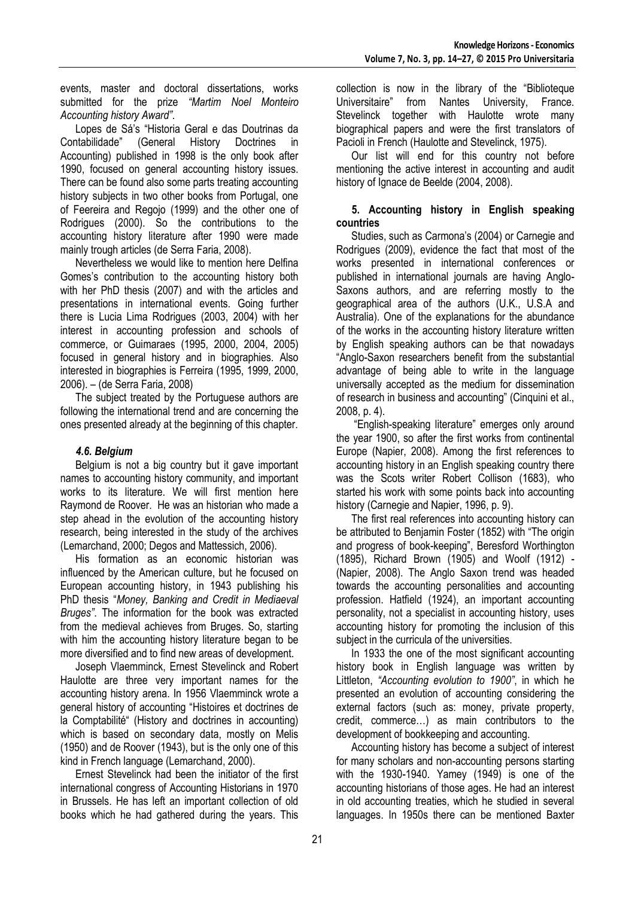events, master and doctoral dissertations, works submitted for the prize *"Martim Noel Monteiro Accounting history Award"*.

Lopes de Sá's "Historia Geral e das Doutrinas da Contabilidade‖ (General History Doctrines in Accounting) published in 1998 is the only book after 1990, focused on general accounting history issues. There can be found also some parts treating accounting history subjects in two other books from Portugal, one of Feereira and Regojo (1999) and the other one of Rodrigues (2000). So the contributions to the accounting history literature after 1990 were made mainly trough articles (de Serra Faria, 2008).

Nevertheless we would like to mention here Delfina Gomes's contribution to the accounting history both with her PhD thesis (2007) and with the articles and presentations in international events. Going further there is Lucia Lima Rodrigues (2003, 2004) with her interest in accounting profession and schools of commerce, or Guimaraes (1995, 2000, 2004, 2005) focused in general history and in biographies. Also interested in biographies is Ferreira (1995, 1999, 2000, 2006). – (de Serra Faria, 2008)

The subject treated by the Portuguese authors are following the international trend and are concerning the ones presented already at the beginning of this chapter.

## *4.6. Belgium*

Belgium is not a big country but it gave important names to accounting history community, and important works to its literature. We will first mention here Raymond de Roover. He was an historian who made a step ahead in the evolution of the accounting history research, being interested in the study of the archives (Lemarchand, 2000; Degos and Mattessich, 2006).

His formation as an economic historian was influenced by the American culture, but he focused on European accounting history, in 1943 publishing his PhD thesis ―*Money, Banking and Credit in Mediaeval Bruges"*. The information for the book was extracted from the medieval achieves from Bruges. So, starting with him the accounting history literature began to be more diversified and to find new areas of development.

Joseph Vlaemminck, Ernest Stevelinck and Robert Haulotte are three very important names for the accounting history arena. In 1956 Vlaemminck wrote a general history of accounting "Histoires et doctrines de la Comptabilité "(History and doctrines in accounting) which is based on secondary data, mostly on Melis (1950) and de Roover (1943), but is the only one of this kind in French language (Lemarchand, 2000).

Ernest Stevelinck had been the initiator of the first international congress of Accounting Historians in 1970 in Brussels. He has left an important collection of old books which he had gathered during the years. This

collection is now in the library of the "Biblioteque Universitaire" from Nantes University, France. Stevelinck together with Haulotte wrote many biographical papers and were the first translators of Pacioli in French (Haulotte and Stevelinck, 1975).

Our list will end for this country not before mentioning the active interest in accounting and audit history of Ignace de Beelde (2004, 2008).

### **5. Accounting history in English speaking countries**

Studies, such as Carmona's (2004) or Carnegie and Rodrigues (2009), evidence the fact that most of the works presented in international conferences or published in international journals are having Anglo-Saxons authors, and are referring mostly to the geographical area of the authors (U.K., U.S.A and Australia). One of the explanations for the abundance of the works in the accounting history literature written by English speaking authors can be that nowadays "Anglo-Saxon researchers benefit from the substantial advantage of being able to write in the language universally accepted as the medium for dissemination of research in business and accounting" (Cinquini et al., 2008, p. 4).

―English-speaking literature‖ emerges only around the year 1900, so after the first works from continental Europe (Napier, 2008). Among the first references to accounting history in an English speaking country there was the Scots writer Robert Collison (1683), who started his work with some points back into accounting history (Carnegie and Napier, 1996, p. 9).

The first real references into accounting history can be attributed to Benjamin Foster (1852) with "The origin and progress of book-keeping", Beresford Worthington (1895), Richard Brown (1905) and Woolf (1912) - (Napier, 2008). The Anglo Saxon trend was headed towards the accounting personalities and accounting profession. Hatfield (1924), an important accounting personality, not a specialist in accounting history, uses accounting history for promoting the inclusion of this subject in the curricula of the universities.

In 1933 the one of the most significant accounting history book in English language was written by Littleton, *"Accounting evolution to 1900"*, in which he presented an evolution of accounting considering the external factors (such as: money, private property, credit, commerce…) as main contributors to the development of bookkeeping and accounting.

Accounting history has become a subject of interest for many scholars and non-accounting persons starting with the 1930-1940. Yamey (1949) is one of the accounting historians of those ages. He had an interest in old accounting treaties, which he studied in several languages. In 1950s there can be mentioned Baxter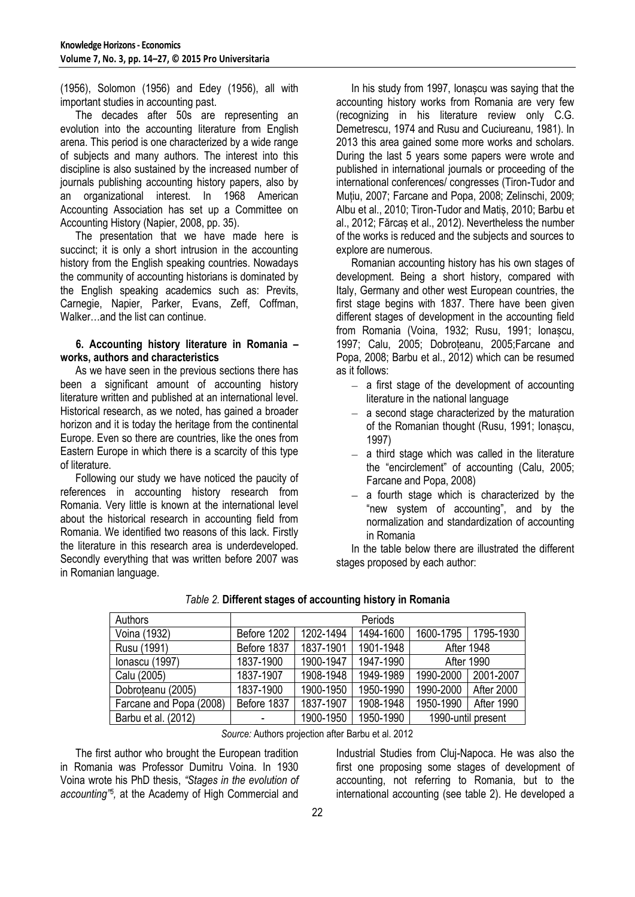(1956), Solomon (1956) and Edey (1956), all with important studies in accounting past.

The decades after 50s are representing an evolution into the accounting literature from English arena. This period is one characterized by a wide range of subjects and many authors. The interest into this discipline is also sustained by the increased number of journals publishing accounting history papers, also by an organizational interest. In 1968 American Accounting Association has set up a Committee on Accounting History (Napier, 2008, pp. 35).

The presentation that we have made here is succinct; it is only a short intrusion in the accounting history from the English speaking countries. Nowadays the community of accounting historians is dominated by the English speaking academics such as: Previts, Carnegie, Napier, Parker, Evans, Zeff, Coffman, Walker…and the list can continue.

#### **6. Accounting history literature in Romania – works, authors and characteristics**

As we have seen in the previous sections there has been a significant amount of accounting history literature written and published at an international level. Historical research, as we noted, has gained a broader horizon and it is today the heritage from the continental Europe. Even so there are countries, like the ones from Eastern Europe in which there is a scarcity of this type of literature.

Following our study we have noticed the paucity of references in accounting history research from Romania. Very little is known at the international level about the historical research in accounting field from Romania. We identified two reasons of this lack. Firstly the literature in this research area is underdeveloped. Secondly everything that was written before 2007 was in Romanian language.

In his study from 1997, Ionașcu was saying that the accounting history works from Romania are very few (recognizing in his literature review only C.G. Demetrescu, 1974 and Rusu and Cuciureanu, 1981). In 2013 this area gained some more works and scholars. During the last 5 years some papers were wrote and published in international journals or proceeding of the international conferences/ congresses (Tiron-Tudor and Muțiu, 2007; Farcane and Popa, 2008; Zelinschi, 2009; Albu et al., 2010; Tiron-Tudor and Matiș, 2010; Barbu et al., 2012; Fărcaș et al., 2012). Nevertheless the number of the works is reduced and the subjects and sources to explore are numerous.

Romanian accounting history has his own stages of development. Being a short history, compared with Italy, Germany and other west European countries, the first stage begins with 1837. There have been given different stages of development in the accounting field from Romania (Voina, 1932; Rusu, 1991; Ionașcu, 1997; Calu, 2005; Dobroțeanu, 2005;Farcane and Popa, 2008; Barbu et al., 2012) which can be resumed as it follows:

- $-$  a first stage of the development of accounting literature in the national language
- $-$  a second stage characterized by the maturation of the Romanian thought (Rusu, 1991; Ionașcu, 1997)
- a third stage which was called in the literature the "encirclement" of accounting (Calu, 2005; Farcane and Popa, 2008)
- $-$  a fourth stage which is characterized by the "new system of accounting", and by the normalization and standardization of accounting in Romania

In the table below there are illustrated the different stages proposed by each author:

| Authors                 | Periods     |           |           |                       |                   |  |
|-------------------------|-------------|-----------|-----------|-----------------------|-------------------|--|
| Voina (1932)            | Before 1202 | 1202-1494 | 1494-1600 | 1600-1795   1795-1930 |                   |  |
| Rusu (1991)             | Before 1837 | 1837-1901 | 1901-1948 | <b>After 1948</b>     |                   |  |
| Ionascu (1997)          | 1837-1900   | 1900-1947 | 1947-1990 | After 1990            |                   |  |
| Calu (2005)             | 1837-1907   | 1908-1948 | 1949-1989 | 1990-2000             | 2001-2007         |  |
| Dobroteanu (2005)       | 1837-1900   | 1900-1950 | 1950-1990 | 1990-2000             | After 2000        |  |
| Farcane and Popa (2008) | Before 1837 | 1837-1907 | 1908-1948 | 1950-1990             | <b>After 1990</b> |  |
| Barbu et al. (2012)     | ٠           | 1900-1950 | 1950-1990 | 1990-until present    |                   |  |

*Table 2.* **Different stages of accounting history in Romania**

*Source:* Authors projection after Barbu et al. 2012

The first author who brought the European tradition in Romania was Professor Dumitru Voina. In 1930 Voina wrote his PhD thesis, *"Stages in the evolution of accounting"<sup>5</sup> ,* at the Academy of High Commercial and Industrial Studies from Cluj-Napoca. He was also the first one proposing some stages of development of accounting, not referring to Romania, but to the international accounting (see table 2). He developed a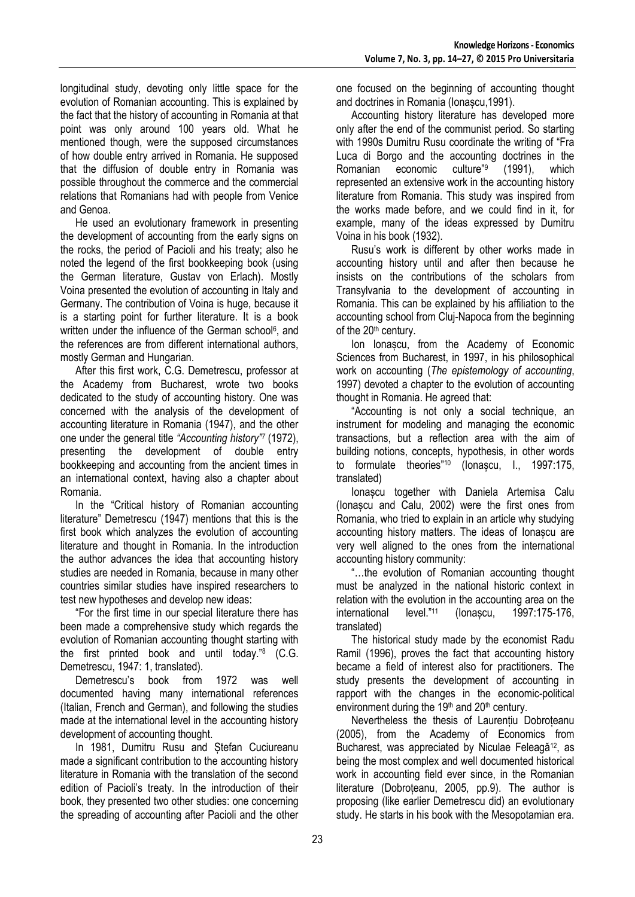longitudinal study, devoting only little space for the evolution of Romanian accounting. This is explained by the fact that the history of accounting in Romania at that point was only around 100 years old. What he mentioned though, were the supposed circumstances of how double entry arrived in Romania. He supposed that the diffusion of double entry in Romania was possible throughout the commerce and the commercial relations that Romanians had with people from Venice and Genoa.

He used an evolutionary framework in presenting the development of accounting from the early signs on the rocks, the period of Pacioli and his treaty; also he noted the legend of the first bookkeeping book (using the German literature, Gustav von Erlach). Mostly Voina presented the evolution of accounting in Italy and Germany. The contribution of Voina is huge, because it is a starting point for further literature. It is a book written under the influence of the German school<sup>6</sup>, and the references are from different international authors, mostly German and Hungarian.

After this first work, C.G. Demetrescu, professor at the Academy from Bucharest, wrote two books dedicated to the study of accounting history. One was concerned with the analysis of the development of accounting literature in Romania (1947), and the other one under the general title *"Accounting history"<sup>7</sup>* (1972), presenting the development of double entry bookkeeping and accounting from the ancient times in an international context, having also a chapter about Romania.

In the "Critical history of Romanian accounting literature" Demetrescu (1947) mentions that this is the first book which analyzes the evolution of accounting literature and thought in Romania. In the introduction the author advances the idea that accounting history studies are needed in Romania, because in many other countries similar studies have inspired researchers to test new hypotheses and develop new ideas:

―For the first time in our special literature there has been made a comprehensive study which regards the evolution of Romanian accounting thought starting with the first printed book and until today."<sup>8</sup> (C.G. Demetrescu, 1947: 1, translated).

Demetrescu's book from 1972 was well documented having many international references (Italian, French and German), and following the studies made at the international level in the accounting history development of accounting thought.

In 1981, Dumitru Rusu and Ștefan Cuciureanu made a significant contribution to the accounting history literature in Romania with the translation of the second edition of Pacioli's treaty. In the introduction of their book, they presented two other studies: one concerning the spreading of accounting after Pacioli and the other

one focused on the beginning of accounting thought and doctrines in Romania (Ionașcu,1991).

Accounting history literature has developed more only after the end of the communist period. So starting with 1990s Dumitru Rusu coordinate the writing of "Fra Luca di Borgo and the accounting doctrines in the<br>Romanian economic culture<sup>"9</sup> (1991). which Romanian economic (1991), which represented an extensive work in the accounting history literature from Romania. This study was inspired from the works made before, and we could find in it, for example, many of the ideas expressed by Dumitru Voina in his book (1932).

Rusu's work is different by other works made in accounting history until and after then because he insists on the contributions of the scholars from Transylvania to the development of accounting in Romania. This can be explained by his affiliation to the accounting school from Cluj-Napoca from the beginning of the 20<sup>th</sup> century.

Ion Ionașcu, from the Academy of Economic Sciences from Bucharest, in 1997, in his philosophical work on accounting (*The epistemology of accounting*, 1997) devoted a chapter to the evolution of accounting thought in Romania. He agreed that:

"Accounting is not only a social technique, an instrument for modeling and managing the economic transactions, but a reflection area with the aim of building notions, concepts, hypothesis, in other words to formulate theories"<sup>10</sup> (Ionascu, I., 1997:175, translated)

Ionașcu together with Daniela Artemisa Calu (Ionașcu and Calu, 2002) were the first ones from Romania, who tried to explain in an article why studying accounting history matters. The ideas of Ionașcu are very well aligned to the ones from the international accounting history community:

―…the evolution of Romanian accounting thought must be analyzed in the national historic context in relation with the evolution in the accounting area on the international level."<sup>11</sup> (Ionașcu, 1997:175-176, translated)

The historical study made by the economist Radu Ramil (1996), proves the fact that accounting history became a field of interest also for practitioners. The study presents the development of accounting in rapport with the changes in the economic-political environment during the 19<sup>th</sup> and 20<sup>th</sup> century.

Nevertheless the thesis of Laurentiu Dobroteanu (2005), from the Academy of Economics from Bucharest, was appreciated by Niculae Feleagă<sup>12</sup>, as being the most complex and well documented historical work in accounting field ever since, in the Romanian literature (Dobroțeanu, 2005, pp.9). The author is proposing (like earlier Demetrescu did) an evolutionary study. He starts in his book with the Mesopotamian era.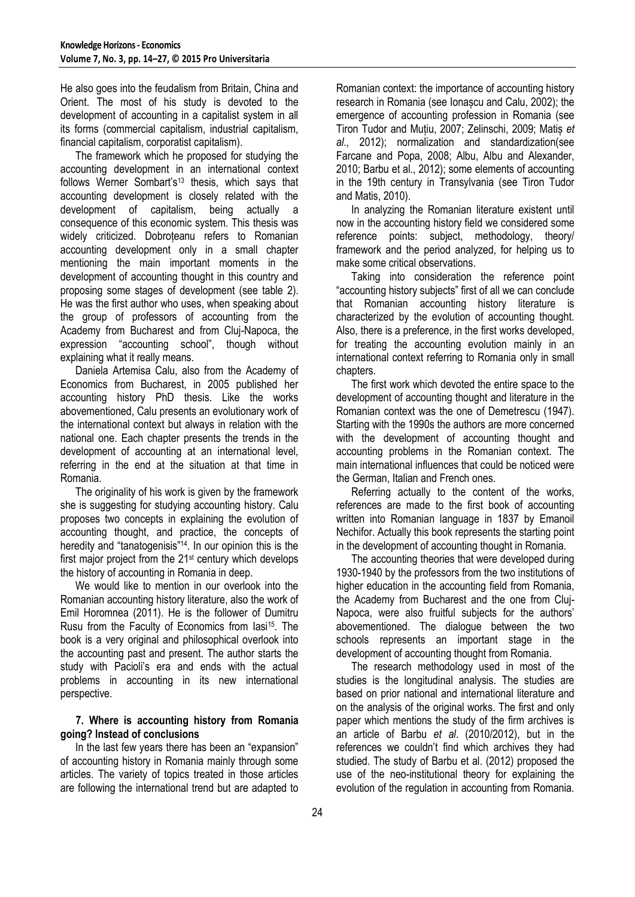He also goes into the feudalism from Britain, China and Orient. The most of his study is devoted to the development of accounting in a capitalist system in all its forms (commercial capitalism, industrial capitalism, financial capitalism, corporatist capitalism).

The framework which he proposed for studying the accounting development in an international context follows Werner Sombart's<sup>13</sup> thesis, which says that accounting development is closely related with the development of capitalism, being actually a consequence of this economic system. This thesis was widely criticized. Dobroteanu refers to Romanian accounting development only in a small chapter mentioning the main important moments in the development of accounting thought in this country and proposing some stages of development (see table 2). He was the first author who uses, when speaking about the group of professors of accounting from the Academy from Bucharest and from Cluj-Napoca, the expression "accounting school", though without explaining what it really means.

Daniela Artemisa Calu, also from the Academy of Economics from Bucharest, in 2005 published her accounting history PhD thesis. Like the works abovementioned, Calu presents an evolutionary work of the international context but always in relation with the national one. Each chapter presents the trends in the development of accounting at an international level, referring in the end at the situation at that time in Romania.

The originality of his work is given by the framework she is suggesting for studying accounting history. Calu proposes two concepts in explaining the evolution of accounting thought, and practice, the concepts of heredity and "tanatogenisis"<sup>14</sup>. In our opinion this is the first major project from the 21st century which develops the history of accounting in Romania in deep.

We would like to mention in our overlook into the Romanian accounting history literature, also the work of Emil Horomnea (2011). He is the follower of Dumitru Rusu from the Faculty of Economics from Iasi15. The book is a very original and philosophical overlook into the accounting past and present. The author starts the study with Pacioli's era and ends with the actual problems in accounting in its new international perspective.

#### **7. Where is accounting history from Romania going? Instead of conclusions**

In the last few years there has been an "expansion" of accounting history in Romania mainly through some articles. The variety of topics treated in those articles are following the international trend but are adapted to

Romanian context: the importance of accounting history research in Romania (see Ionașcu and Calu, 2002); the emergence of accounting profession in Romania (see Tiron Tudor and Muțiu, 2007; Zelinschi, 2009; Matiș *et al.,* 2012); normalization and standardization(see Farcane and Popa, 2008; Albu, Albu and Alexander, 2010; Barbu et al., 2012); some elements of accounting in the 19th century in Transylvania (see Tiron Tudor and Matis, 2010).

In analyzing the Romanian literature existent until now in the accounting history field we considered some reference points: subject, methodology, theory/ framework and the period analyzed, for helping us to make some critical observations.

Taking into consideration the reference point "accounting history subjects" first of all we can conclude that Romanian accounting history literature is characterized by the evolution of accounting thought. Also, there is a preference, in the first works developed, for treating the accounting evolution mainly in an international context referring to Romania only in small chapters.

The first work which devoted the entire space to the development of accounting thought and literature in the Romanian context was the one of Demetrescu (1947). Starting with the 1990s the authors are more concerned with the development of accounting thought and accounting problems in the Romanian context. The main international influences that could be noticed were the German, Italian and French ones.

Referring actually to the content of the works, references are made to the first book of accounting written into Romanian language in 1837 by Emanoil Nechifor. Actually this book represents the starting point in the development of accounting thought in Romania.

The accounting theories that were developed during 1930-1940 by the professors from the two institutions of higher education in the accounting field from Romania, the Academy from Bucharest and the one from Cluj-Napoca, were also fruitful subjects for the authors' abovementioned. The dialogue between the two schools represents an important stage in the development of accounting thought from Romania.

The research methodology used in most of the studies is the longitudinal analysis. The studies are based on prior national and international literature and on the analysis of the original works. The first and only paper which mentions the study of the firm archives is an article of Barbu *et al*. (2010/2012), but in the references we couldn't find which archives they had studied. The study of Barbu et al. (2012) proposed the use of the neo-institutional theory for explaining the evolution of the regulation in accounting from Romania.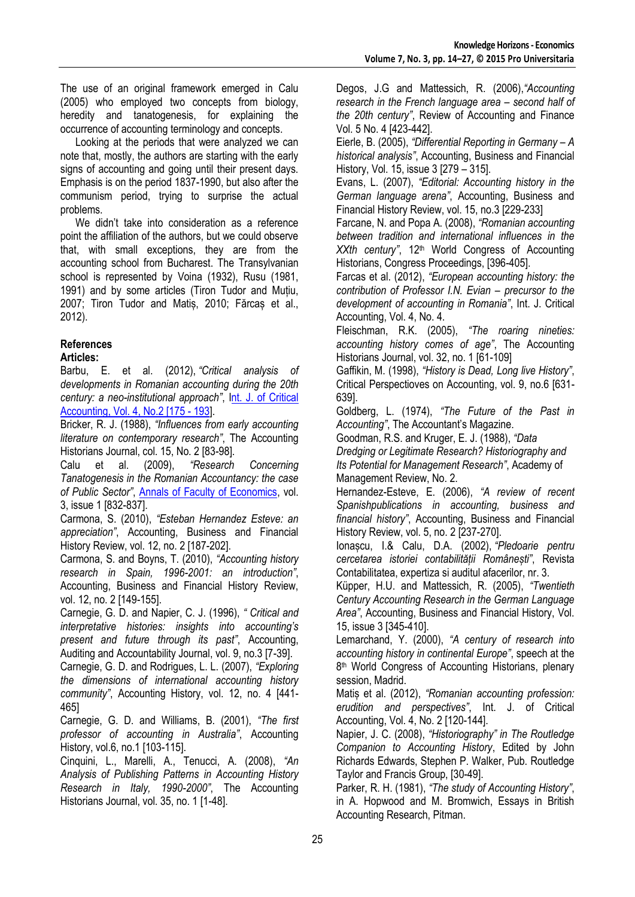The use of an original framework emerged in Calu (2005) who employed two concepts from biology, heredity and tanatogenesis, for explaining the occurrence of accounting terminology and concepts.

Looking at the periods that were analyzed we can note that, mostly, the authors are starting with the early signs of accounting and going until their present days. Emphasis is on the period 1837-1990, but also after the communism period, trying to surprise the actual problems.

We didn't take into consideration as a reference point the affiliation of the authors, but we could observe that, with small exceptions, they are from the accounting school from Bucharest. The Transylvanian school is represented by Voina (1932), Rusu (1981, 1991) and by some articles (Tiron Tudor and Muțiu, 2007; Tiron Tudor and Matiș, 2010; Fărcaș et al., 2012).

### **References**

### **Articles:**

Barbu, E. et al. (2012), *"Critical analysis of developments in Romanian accounting during the 20th century: a neo-institutional approach"*, [Int. J. of Critical](http://www.inderscience.com/info/inarticletoc.php?jcode=ijca&year=2012&vol=4&issue=2)  [Accounting, Vol. 4, No.2 \[175 -](http://www.inderscience.com/info/inarticletoc.php?jcode=ijca&year=2012&vol=4&issue=2) 193].

Bricker, R. J. (1988), *"Influences from early accounting literature on contemporary research"*, The Accounting Historians Journal, col. 15, No. 2 [83-98].

Calu et al. (2009), *"Research Concerning Tanatogenesis in the Romanian Accountancy: the case of Public Sector"*, [Annals of Faculty of Economics,](http://econpapers.repec.org/article/orajournl/) vol. 3, issue 1 [832-837].

Carmona, S. (2010), *"Esteban Hernandez Esteve: an appreciation"*, Accounting, Business and Financial History Review, vol. 12, no. 2 [187-202].

Carmona, S. and Boyns, T. (2010), *"Accounting history research in Spain, 1996-2001: an introduction"*, Accounting, Business and Financial History Review, vol. 12, no. 2 [149-155].

Carnegie, G. D. and Napier, C. J. (1996), *" Critical and interpretative histories: insights into accounting's present and future through its past"*, Accounting, Auditing and Accountability Journal, vol. 9, no.3 [7-39].

Carnegie, G. D. and Rodrigues, L. L. (2007), *"Exploring the dimensions of international accounting history community"*, Accounting History, vol. 12, no. 4 [441- 465]

Carnegie, G. D. and Williams, B. (2001), *"The first professor of accounting in Australia"*, Accounting History, vol.6, no.1 [103-115].

Cinquini, L., Marelli, A., Tenucci, A. (2008), *"An Analysis of Publishing Patterns in Accounting History Research in Italy, 1990-2000"*, The Accounting Historians Journal, vol. 35, no. 1 [1-48].

Degos, J.G and Mattessich, R. (2006),*"Accounting research in the French language area – second half of the 20th century"*, Review of Accounting and Finance Vol. 5 No. 4 [423-442].

Eierle, B. (2005), *"Differential Reporting in Germany – A historical analysis"*, Accounting, Business and Financial History, Vol. 15, issue 3 [279 – 315].

Evans, L. (2007), *"Editorial: Accounting history in the German language arena"*, Accounting, Business and Financial History Review, vol. 15, no.3 [229-233]

Farcane, N. and Popa A. (2008), *"Romanian accounting between tradition and international influences in the*  XXth century", 12<sup>th</sup> World Congress of Accounting Historians, Congress Proceedings, [396-405].

Farcas et al. (2012), *"European accounting history: the contribution of Professor I.N. Evian – precursor to the development of accounting in Romania"*, Int. J. Critical Accounting, Vol. 4, No. 4.

Fleischman, R.K. (2005), *"The roaring nineties: accounting history comes of age"*, The Accounting Historians Journal, vol. 32, no. 1 [61-109]

Gaffikin, M. (1998), *"History is Dead, Long live History"*, Critical Perspectioves on Accounting, vol. 9, no.6 [631- 639].

Goldberg, L. (1974), *"The Future of the Past in Accounting"*, The Accountant's Magazine.

Goodman, R.S. and Kruger, E. J. (1988), *"Data* 

*Dredging or Legitimate Research? Historiography and Its Potential for Management Research"*, Academy of Management Review, No. 2.

Hernandez-Esteve, E. (2006), *"A review of recent Spanishpublications in accounting, business and financial history"*, Accounting, Business and Financial History Review, vol. 5, no. 2 [237-270].

Ionașcu, I.& Calu, D.A. (2002), *"Pledoarie pentru cercetarea istoriei contabilității Românești"*, Revista Contabilitatea, expertiza si auditul afacerilor, nr. 3.

Küpper, H.U. and Mattessich, R. (2005), *"Twentieth Century Accounting Research in the German Language Area"*, Accounting, Business and Financial History, Vol. 15, issue 3 [345-410].

Lemarchand, Y. (2000), *"A century of research into accounting history in continental Europe"*, speech at the 8 th World Congress of Accounting Historians, plenary session, Madrid.

Matiș et al. (2012), *"Romanian accounting profession: erudition and perspectives"*, Int. J. of Critical Accounting, Vol. 4, No. 2 [120-144].

Napier, J. C. (2008), *"Historiography" in The Routledge Companion to Accounting History*, Edited by John Richards Edwards, Stephen P. Walker, Pub. Routledge Taylor and Francis Group, [30-49].

Parker, R. H. (1981), *"The study of Accounting History"*, in A. Hopwood and M. Bromwich, Essays in British Accounting Research, Pitman.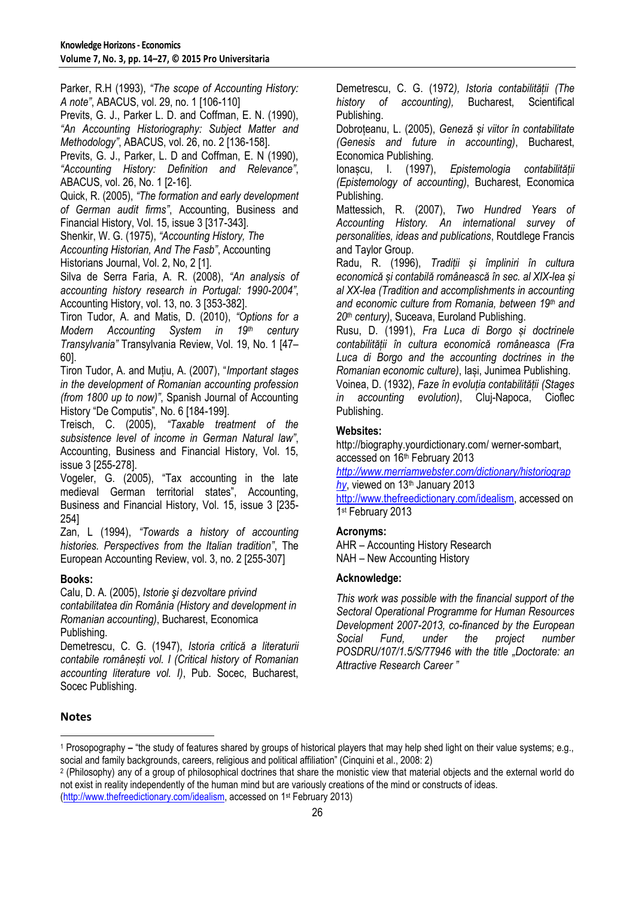Parker, R.H (1993), *"The scope of Accounting History: A note"*, ABACUS, vol. 29, no. 1 [106-110] Previts, G. J., Parker L. D. and Coffman, E. N. (1990), *"An Accounting Historiography: Subject Matter and Methodology"*, ABACUS, vol. 26, no. 2 [136-158]. Previts, G. J., Parker, L. D and Coffman, E. N (1990), *"Accounting History: Definition and Relevance"*, ABACUS, vol. 26, No. 1 [2-16]. Quick, R. (2005), *"The formation and early development of German audit firms"*, Accounting, Business and

Financial History, Vol. 15, issue 3 [317-343].

Shenkir, W. G. (1975), *"Accounting History, The* 

*Accounting Historian, And The Fasb"*, Accounting Historians Journal, Vol. 2, No, 2 [1].

Silva de Serra Faria, A. R. (2008), *"An analysis of accounting history research in Portugal: 1990-2004"*, Accounting History, vol. 13, no. 3 [353-382].

Tiron Tudor, A. and Matis, D. (2010), *"Options for a Modern Accounting System in 19th century Transylvania"* Transylvania Review, Vol. 19, No. 1 [47– 60].

Tiron Tudor, A. and Mutiu, A. (2007), *"Important stages in the development of Romanian accounting profession (from 1800 up to now)"*, Spanish Journal of Accounting History "De Computis", No. 6 [184-199].

Treisch, C. (2005), *"Taxable treatment of the subsistence level of income in German Natural law"*, Accounting, Business and Financial History, Vol. 15, issue 3 [255-278].

Vogeler, G. (2005), "Tax accounting in the late medieval German territorial states", Accounting, Business and Financial History, Vol. 15, issue 3 [235- 254]

Zan, L (1994), *"Towards a history of accounting histories. Perspectives from the Italian tradition"*, The European Accounting Review, vol. 3, no. 2 [255-307]

### **Books:**

Calu, D. A. (2005), *Istorie şi dezvoltare privind contabilitatea din România (History and development in Romanian accounting)*, Bucharest, Economica Publishing.

Demetrescu, C. G. (1947), *Istoria critică a literaturii contabile românești vol. I (Critical history of Romanian accounting literature vol. I)*, Pub. Socec, Bucharest, Socec Publishing.

Demetrescu, C. G. (1972*), Istoria contabilității (The history of accounting),* Bucharest, Scientifical Publishing.

Dobroțeanu, L. (2005), *Geneză și viitor în contabilitate (Genesis and future in accounting)*, Bucharest, Economica Publishing.

Ionașcu, I. (1997), *Epistemologia contabilității (Epistemology of accounting)*, Bucharest, Economica Publishing.

Mattessich, R. (2007), *Two Hundred Years of Accounting History. An international survey of personalities, ideas and publications*, Routdlege Francis and Taylor Group.

Radu, R. (1996), *Tradiții și împliniri în cultura economică și contabilă românească în sec. al XIX-lea și al XX-lea (Tradition and accomplishments in accounting and economic culture from Romania, between 19th and 20th century)*, Suceava, Euroland Publishing.

Rusu, D. (1991), *Fra Luca di Borgo și doctrinele contabilității în cultura economică româneasca (Fra Luca di Borgo and the accounting doctrines in the Romanian economic culture)*, Iași, Junimea Publishing. Voinea, D. (1932), *Faze în evoluția contabilității (Stages in accounting evolution)*, Cluj-Napoca, Cioflec Publishing.

### **Websites:**

http://biography.yourdictionary.com/ werner-sombart, accessed on 16<sup>th</sup> February 2013

*[http://www.merriamwebster.com/dictionary/historiograp](http://www.merriamwebster.com/dictionary/historiography) [hy](http://www.merriamwebster.com/dictionary/historiography)*, viewed on 13th January 2013 [http://www.thefreedictionary.com/idealism,](http://www.thefreedictionary.com/idealism) accessed on 1st February 2013

### **Acronyms:**

AHR – Accounting History Research NAH – New Accounting History

### **Acknowledge:**

*This work was possible with the financial support of the Sectoral Operational Programme for Human Resources Development 2007-2013, co-financed by the European Social Fund, under the project number POSDRU/107/1.5/S/77946 with the title "Doctorate: an Attractive Research Career "*

### **Notes**

**.** 

<sup>&</sup>lt;sup>1</sup> Prosopography – "the study of features shared by groups of historical players that may help shed light on their value systems; e.g., social and family backgrounds, careers, religious and political affiliation" (Cinquini et al., 2008: 2)

<sup>2</sup> (Philosophy) any of a group of philosophical doctrines that share the monistic view that material objects and the external world do not exist in reality independently of the human mind but are variously creations of the mind or constructs of ideas. [\(http://www.thefreedictionary.com/idealism,](http://www.thefreedictionary.com/idealism) accessed on 1st February 2013)